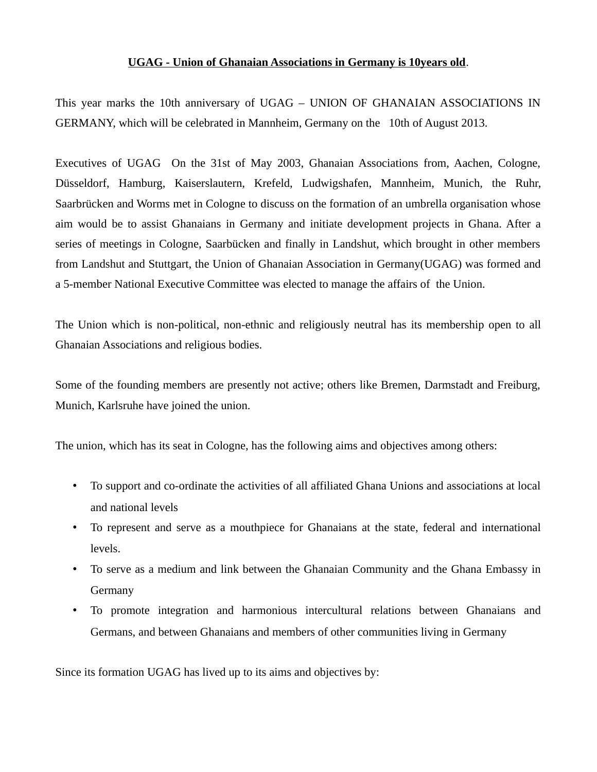## **UGAG - Union of Ghanaian Associations in Germany is 10years old**.

This year marks the 10th anniversary of UGAG – UNION OF GHANAIAN ASSOCIATIONS IN GERMANY, which will be celebrated in Mannheim, Germany on the 10th of August 2013.

Executives of UGAG On the 31st of May 2003, Ghanaian Associations from, Aachen, Cologne, Düsseldorf, Hamburg, Kaiserslautern, Krefeld, Ludwigshafen, Mannheim, Munich, the Ruhr, Saarbrücken and Worms met in Cologne to discuss on the formation of an umbrella organisation whose aim would be to assist Ghanaians in Germany and initiate development projects in Ghana. After a series of meetings in Cologne, Saarbücken and finally in Landshut, which brought in other members from Landshut and Stuttgart, the Union of Ghanaian Association in Germany(UGAG) was formed and a 5-member National Executive Committee was elected to manage the affairs of the Union.

The Union which is non-political, non-ethnic and religiously neutral has its membership open to all Ghanaian Associations and religious bodies.

Some of the founding members are presently not active; others like Bremen, Darmstadt and Freiburg, Munich, Karlsruhe have joined the union.

The union, which has its seat in Cologne, has the following aims and objectives among others:

- To support and co-ordinate the activities of all affiliated Ghana Unions and associations at local and national levels
- To represent and serve as a mouthpiece for Ghanaians at the state, federal and international levels.
- To serve as a medium and link between the Ghanaian Community and the Ghana Embassy in Germany
- To promote integration and harmonious intercultural relations between Ghanaians and Germans, and between Ghanaians and members of other communities living in Germany

Since its formation UGAG has lived up to its aims and objectives by: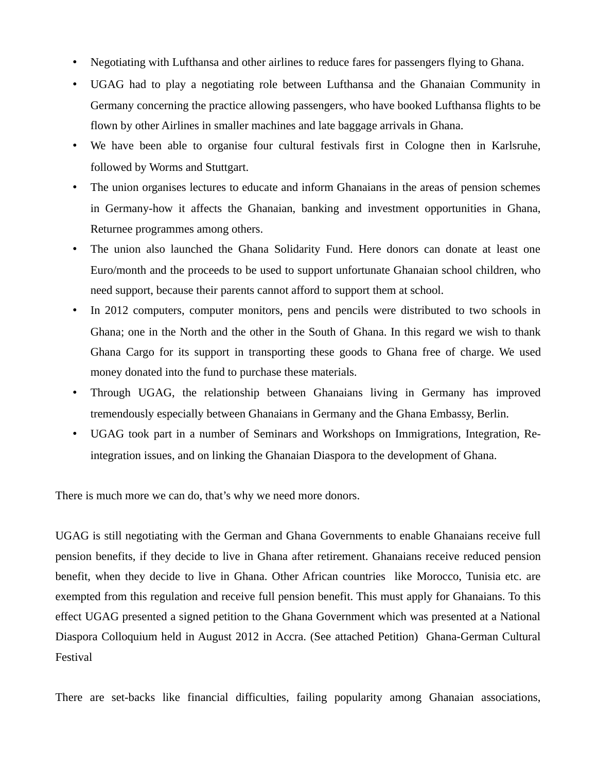- Negotiating with Lufthansa and other airlines to reduce fares for passengers flying to Ghana.
- UGAG had to play a negotiating role between Lufthansa and the Ghanaian Community in Germany concerning the practice allowing passengers, who have booked Lufthansa flights to be flown by other Airlines in smaller machines and late baggage arrivals in Ghana.
- We have been able to organise four cultural festivals first in Cologne then in Karlsruhe, followed by Worms and Stuttgart.
- The union organises lectures to educate and inform Ghanaians in the areas of pension schemes in Germany-how it affects the Ghanaian, banking and investment opportunities in Ghana, Returnee programmes among others.
- The union also launched the Ghana Solidarity Fund. Here donors can donate at least one Euro/month and the proceeds to be used to support unfortunate Ghanaian school children, who need support, because their parents cannot afford to support them at school.
- In 2012 computers, computer monitors, pens and pencils were distributed to two schools in Ghana; one in the North and the other in the South of Ghana. In this regard we wish to thank Ghana Cargo for its support in transporting these goods to Ghana free of charge. We used money donated into the fund to purchase these materials.
- Through UGAG, the relationship between Ghanaians living in Germany has improved tremendously especially between Ghanaians in Germany and the Ghana Embassy, Berlin.
- UGAG took part in a number of Seminars and Workshops on Immigrations, Integration, Reintegration issues, and on linking the Ghanaian Diaspora to the development of Ghana.

There is much more we can do, that's why we need more donors.

UGAG is still negotiating with the German and Ghana Governments to enable Ghanaians receive full pension benefits, if they decide to live in Ghana after retirement. Ghanaians receive reduced pension benefit, when they decide to live in Ghana. Other African countries like Morocco, Tunisia etc. are exempted from this regulation and receive full pension benefit. This must apply for Ghanaians. To this effect UGAG presented a signed petition to the Ghana Government which was presented at a National Diaspora Colloquium held in August 2012 in Accra. (See attached Petition) Ghana-German Cultural Festival

There are set-backs like financial difficulties, failing popularity among Ghanaian associations,